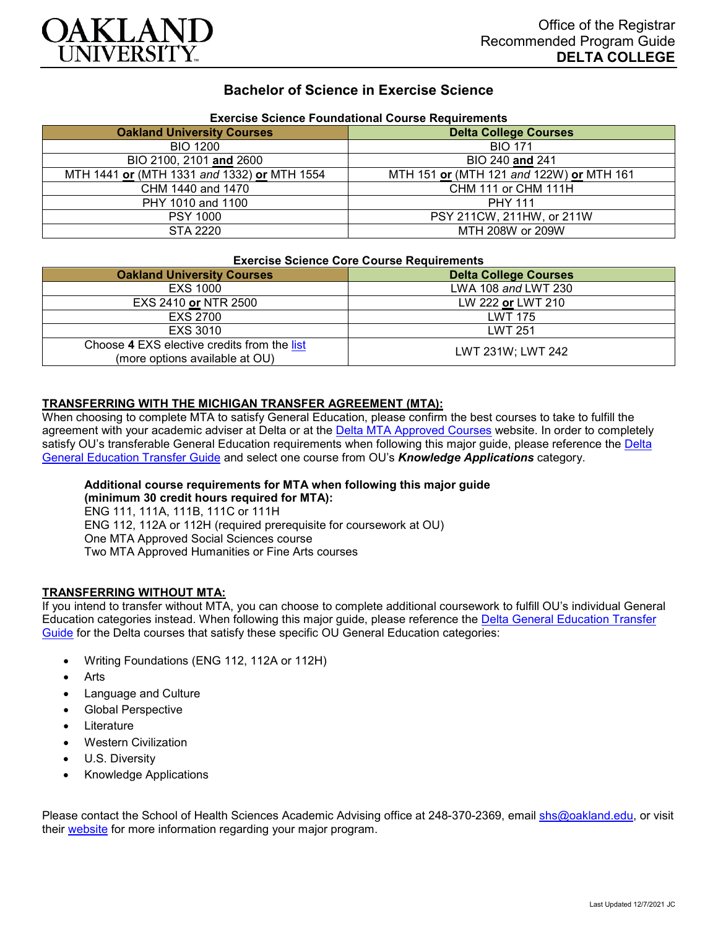

# **Bachelor of Science in Exercise Science**

| Exercise Science Foundational Course Requirements |                                          |
|---------------------------------------------------|------------------------------------------|
| <b>Oakland University Courses</b>                 | <b>Delta College Courses</b>             |
| <b>BIO 1200</b>                                   | <b>BIO 171</b>                           |
| BIO 2100, 2101 and 2600                           | BIO 240 and 241                          |
| MTH 1441 or (MTH 1331 and 1332) or MTH 1554       | MTH 151 or (MTH 121 and 122W) or MTH 161 |
| CHM 1440 and 1470                                 | CHM 111 or CHM 111H                      |
| PHY 1010 and 1100                                 | <b>PHY 111</b>                           |
| <b>PSY 1000</b>                                   | PSY 211CW, 211HW, or 211W                |
| STA 2220                                          | MTH 208W or 209W                         |

## **Exercise Science Foundational Course Requirements**

#### **Exercise Science Core Course Requirements**

| EXCRUISE SOICHUS SOIC SOUISE INSUMPHIEMS                                      |                              |
|-------------------------------------------------------------------------------|------------------------------|
| <b>Oakland University Courses</b>                                             | <b>Delta College Courses</b> |
| EXS 1000                                                                      | LWA 108 and LWT 230          |
| EXS 2410 or NTR 2500                                                          | LW 222 or LWT 210            |
| <b>EXS 2700</b>                                                               | <b>LWT 175</b>               |
| EXS 3010                                                                      | <b>LWT 251</b>               |
| Choose 4 EXS elective credits from the list<br>(more options available at OU) | LWT 231W; LWT 242            |

### **TRANSFERRING WITH THE MICHIGAN TRANSFER AGREEMENT (MTA):**

When choosing to complete MTA to satisfy General Education, please confirm the best courses to take to fulfill the agreement with your academic adviser at Delta or at the [Delta MTA Approved Courses](http://catalog.delta.edu/content.php?catoid=11&navoid=1451) website. In order to completely satisfy OU's transferable General Education requirements when following this major guide, please reference the Delta [General Education Transfer Guide](https://www.oakland.edu/Assets/Oakland/program-guides/delta-college/university-general-education-requirements/Delta%20Gen%20Ed.pdf) and select one course from OU's *Knowledge Applications* category.

### **Additional course requirements for MTA when following this major guide**

**(minimum 30 credit hours required for MTA):** ENG 111, 111A, 111B, 111C or 111H ENG 112, 112A or 112H (required prerequisite for coursework at OU) One MTA Approved Social Sciences course Two MTA Approved Humanities or Fine Arts courses

### **TRANSFERRING WITHOUT MTA:**

If you intend to transfer without MTA, you can choose to complete additional coursework to fulfill OU's individual General Education categories instead. When following this major guide, please reference the [Delta General Education Transfer](https://www.oakland.edu/Assets/Oakland/program-guides/delta-college/university-general-education-requirements/Delta%20Gen%20Ed.pdf)  [Guide](https://www.oakland.edu/Assets/Oakland/program-guides/delta-college/university-general-education-requirements/Delta%20Gen%20Ed.pdf) for the Delta courses that satisfy these specific OU General Education categories:

- Writing Foundations (ENG 112, 112A or 112H)
- **Arts**
- Language and Culture
- Global Perspective
- **Literature**
- Western Civilization
- U.S. Diversity
- Knowledge Applications

Please contact the School of Health Sciences Academic Advising office at 248-370-2369, email [shs@oakland.edu,](mailto:shs@oakland.edu) or visit their [website](http://www.oakland.edu/shs/advising) for more information regarding your major program.